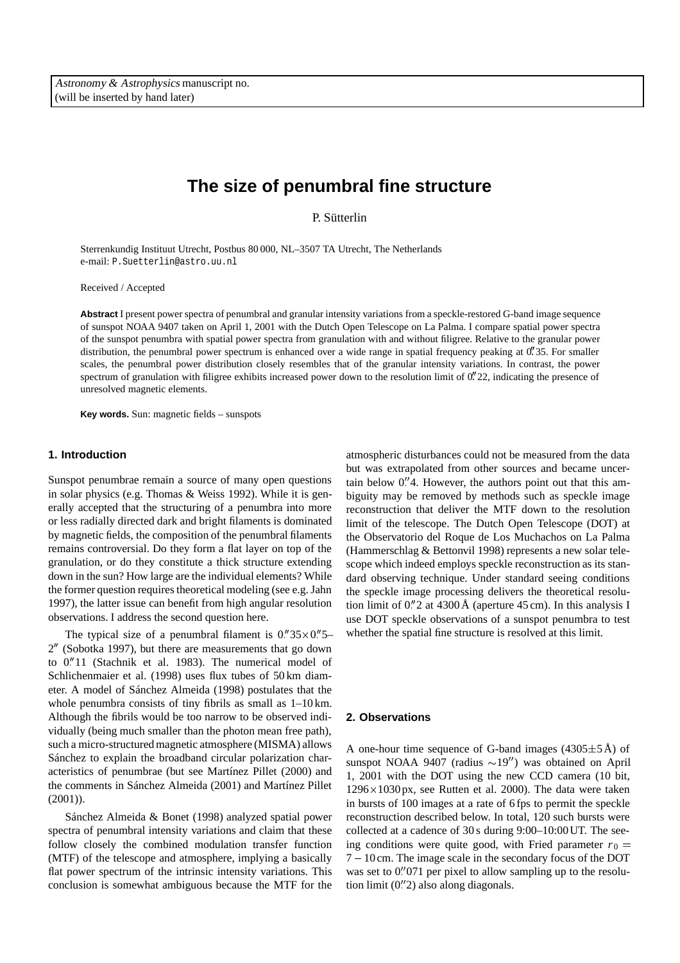# **The size of penumbral fine structure**

P. Sütterlin

Sterrenkundig Instituut Utrecht, Postbus 80 000, NL–3507 TA Utrecht, The Netherlands e-mail: P.Suetterlin@astro.uu.nl

Received / Accepted

**Abstract** I present power spectra of penumbral and granular intensity variations from a speckle-restored G-band image sequence of sunspot NOAA 9407 taken on April 1, 2001 with the Dutch Open Telescope on La Palma. I compare spatial power spectra of the sunspot penumbra with spatial power spectra from granulation with and without filigree. Relative to the granular power distribution, the penumbral power spectrum is enhanced over a wide range in spatial frequency peaking at 0. 35. For smaller scales, the penumbral power distribution closely resembles that of the granular intensity variations. In contrast, the power spectrum of granulation with filigree exhibits increased power down to the resolution limit of  $0''22$ , indicating the presence of unresolved magnetic elements.

**Key words.** Sun: magnetic fields – sunspots

# **1. Introduction**

Sunspot penumbrae remain a source of many open questions in solar physics (e.g. Thomas & Weiss 1992). While it is generally accepted that the structuring of a penumbra into more or less radially directed dark and bright filaments is dominated by magnetic fields, the composition of the penumbral filaments remains controversial. Do they form a flat layer on top of the granulation, or do they constitute a thick structure extending down in the sun? How large are the individual elements? While the former question requires theoretical modeling (see e.g. Jahn 1997), the latter issue can benefit from high angular resolution observations. I address the second question here.

The typical size of a penumbral filament is  $0.^{\prime\prime}35\times0.^{\prime\prime}5 2''$  (Sobotka 1997), but there are measurements that go down to 0 11 (Stachnik et al. 1983). The numerical model of Schlichenmaier et al. (1998) uses flux tubes of 50 km diameter. A model of Sánchez Almeida (1998) postulates that the whole penumbra consists of tiny fibrils as small as 1–10 km. Although the fibrils would be too narrow to be observed individually (being much smaller than the photon mean free path), such a micro-structured magnetic atmosphere (MISMA) allows Sánchez to explain the broadband circular polarization characteristics of penumbrae (but see Martínez Pillet (2000) and the comments in Sánchez Almeida (2001) and Martínez Pillet  $(2001)$ ).

Sánchez Almeida & Bonet (1998) analyzed spatial power spectra of penumbral intensity variations and claim that these follow closely the combined modulation transfer function (MTF) of the telescope and atmosphere, implying a basically flat power spectrum of the intrinsic intensity variations. This conclusion is somewhat ambiguous because the MTF for the atmospheric disturbances could not be measured from the data but was extrapolated from other sources and became uncertain below  $0''4$ . However, the authors point out that this ambiguity may be removed by methods such as speckle image reconstruction that deliver the MTF down to the resolution limit of the telescope. The Dutch Open Telescope (DOT) at the Observatorio del Roque de Los Muchachos on La Palma (Hammerschlag & Bettonvil 1998) represents a new solar telescope which indeed employs speckle reconstruction as its standard observing technique. Under standard seeing conditions the speckle image processing delivers the theoretical resolution limit of 0 2 at 4300 Å (aperture 45 cm). In this analysis I use DOT speckle observations of a sunspot penumbra to test whether the spatial fine structure is resolved at this limit.

# **2. Observations**

A one-hour time sequence of G-band images  $(4305 \pm 5 \text{ Å})$  of sunspot NOAA 9407 (radius  $\sim$ 19") was obtained on April 1, 2001 with the DOT using the new CCD camera (10 bit,  $1296\times1030$  px, see Rutten et al. 2000). The data were taken in bursts of 100 images at a rate of 6 fps to permit the speckle reconstruction described below. In total, 120 such bursts were collected at a cadence of 30 s during 9:00–10:00UT. The seeing conditions were quite good, with Fried parameter  $r_0 =$  $7 - 10$  cm. The image scale in the secondary focus of the DOT was set to 0."071 per pixel to allow sampling up to the resolution limit (0 2) also along diagonals.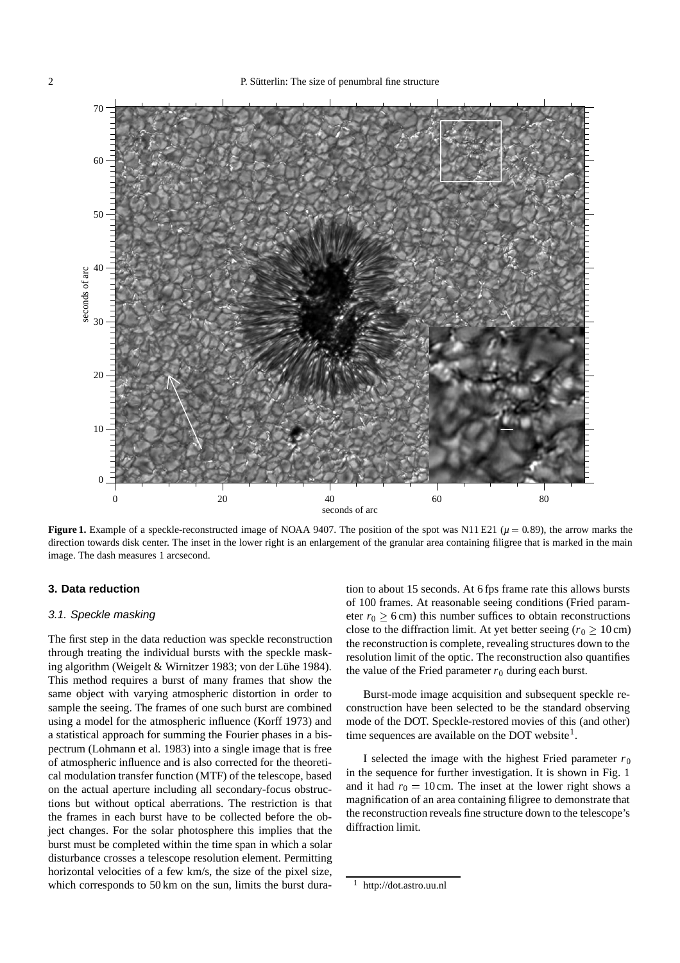

**Figure 1.** Example of a speckle-reconstructed image of NOAA 9407. The position of the spot was N11 E21 ( $\mu$  = 0.89), the arrow marks the direction towards disk center. The inset in the lower right is an enlargement of the granular area containing filigree that is marked in the main image. The dash measures 1 arcsecond.

# **3. Data reduction**

# 3.1. Speckle masking

The first step in the data reduction was speckle reconstruction through treating the individual bursts with the speckle masking algorithm (Weigelt & Wirnitzer 1983; von der Lühe 1984). This method requires a burst of many frames that show the same object with varying atmospheric distortion in order to sample the seeing. The frames of one such burst are combined using a model for the atmospheric influence (Korff 1973) and a statistical approach for summing the Fourier phases in a bispectrum (Lohmann et al. 1983) into a single image that is free of atmospheric influence and is also corrected for the theoretical modulation transfer function (MTF) of the telescope, based on the actual aperture including all secondary-focus obstructions but without optical aberrations. The restriction is that the frames in each burst have to be collected before the object changes. For the solar photosphere this implies that the burst must be completed within the time span in which a solar disturbance crosses a telescope resolution element. Permitting horizontal velocities of a few km/s, the size of the pixel size, which corresponds to 50 km on the sun, limits the burst duration to about 15 seconds. At 6 fps frame rate this allows bursts of 100 frames. At reasonable seeing conditions (Fried parameter  $r_0 \ge 6$  cm) this number suffices to obtain reconstructions close to the diffraction limit. At yet better seeing ( $r_0 \ge 10 \text{ cm}$ ) the reconstruction is complete, revealing structures down to the resolution limit of the optic. The reconstruction also quantifies the value of the Fried parameter  $r_0$  during each burst.

Burst-mode image acquisition and subsequent speckle reconstruction have been selected to be the standard observing mode of the DOT. Speckle-restored movies of this (and other) time sequences are available on the DOT website<sup>1</sup>.

I selected the image with the highest Fried parameter  $r_0$ in the sequence for further investigation. It is shown in Fig. 1 and it had  $r_0 = 10$  cm. The inset at the lower right shows a magnification of an area containing filigree to demonstrate that the reconstruction reveals fine structure down to the telescope's diffraction limit.

<sup>1</sup> http://dot.astro.uu.nl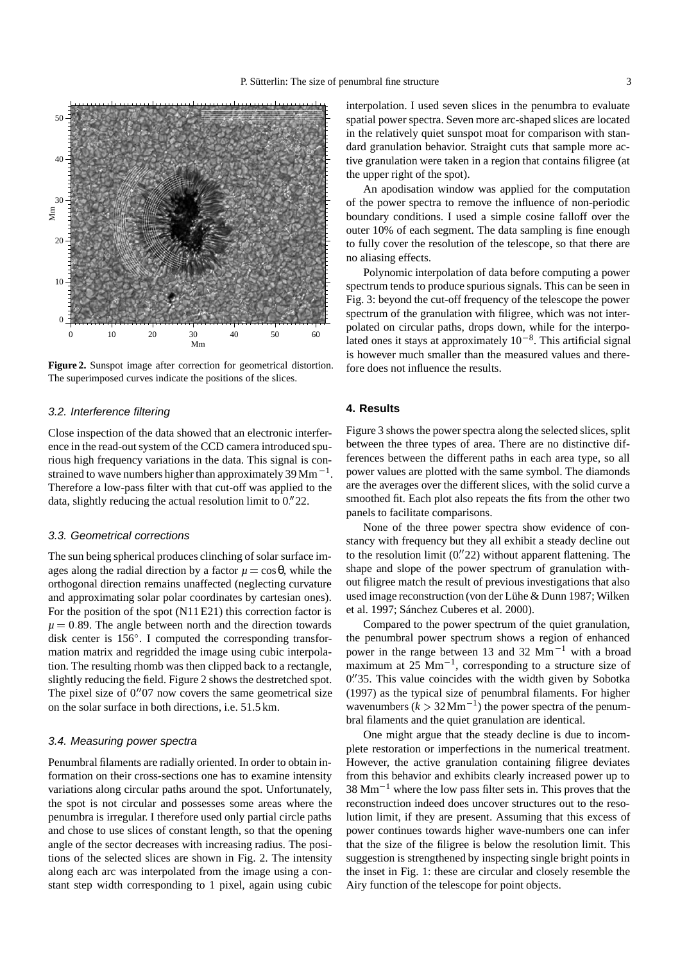

**Figure 2.** Sunspot image after correction for geometrical distortion. The superimposed curves indicate the positions of the slices.

# 3.2. Interference filtering

Close inspection of the data showed that an electronic interference in the read-out system of the CCD camera introduced spurious high frequency variations in the data. This signal is constrained to wave numbers higher than approximately  $39$  Mm<sup> $-1$ </sup>. Therefore a low-pass filter with that cut-off was applied to the data, slightly reducing the actual resolution limit to 0<sup>"</sup>22.

#### 3.3. Geometrical corrections

The sun being spherical produces clinching of solar surface images along the radial direction by a factor  $\mu = \cos \theta$ , while the orthogonal direction remains unaffected (neglecting curvature and approximating solar polar coordinates by cartesian ones). For the position of the spot (N11 E21) this correction factor is  $\mu = 0.89$ . The angle between north and the direction towards disk center is  $156^\circ$ . I computed the corresponding transformation matrix and regridded the image using cubic interpolation. The resulting rhomb was then clipped back to a rectangle, slightly reducing the field. Figure 2 shows the destretched spot. The pixel size of  $0''07$  now covers the same geometrical size on the solar surface in both directions, i.e. 51.5 km.

# 3.4. Measuring power spectra

Penumbral filaments are radially oriented. In order to obtain information on their cross-sections one has to examine intensity variations along circular paths around the spot. Unfortunately, the spot is not circular and possesses some areas where the penumbra is irregular. I therefore used only partial circle paths and chose to use slices of constant length, so that the opening angle of the sector decreases with increasing radius. The positions of the selected slices are shown in Fig. 2. The intensity along each arc was interpolated from the image using a constant step width corresponding to 1 pixel, again using cubic

interpolation. I used seven slices in the penumbra to evaluate spatial power spectra. Seven more arc-shaped slices are located in the relatively quiet sunspot moat for comparison with standard granulation behavior. Straight cuts that sample more active granulation were taken in a region that contains filigree (at the upper right of the spot).

An apodisation window was applied for the computation of the power spectra to remove the influence of non-periodic boundary conditions. I used a simple cosine falloff over the outer 10% of each segment. The data sampling is fine enough to fully cover the resolution of the telescope, so that there are no aliasing effects.

Polynomic interpolation of data before computing a power spectrum tends to produce spurious signals. This can be seen in Fig. 3: beyond the cut-off frequency of the telescope the power spectrum of the granulation with filigree, which was not interpolated on circular paths, drops down, while for the interpolated ones it stays at approximately  $10^{-8}$ . This artificial signal is however much smaller than the measured values and therefore does not influence the results.

# **4. Results**

Figure 3 shows the power spectra along the selected slices, split between the three types of area. There are no distinctive differences between the different paths in each area type, so all power values are plotted with the same symbol. The diamonds are the averages over the different slices, with the solid curve a smoothed fit. Each plot also repeats the fits from the other two panels to facilitate comparisons.

None of the three power spectra show evidence of constancy with frequency but they all exhibit a steady decline out to the resolution limit  $(0.722)$  without apparent flattening. The shape and slope of the power spectrum of granulation without filigree match the result of previous investigations that also used image reconstruction (von der Lühe & Dunn 1987; Wilken et al. 1997; Sánchez Cuberes et al. 2000).

Compared to the power spectrum of the quiet granulation, the penumbral power spectrum shows a region of enhanced power in the range between 13 and 32  $\text{Mm}^{-1}$  with a broad maximum at  $25 \text{ Mm}^{-1}$ , corresponding to a structure size of 0 35. This value coincides with the width given by Sobotka (1997) as the typical size of penumbral filaments. For higher wavenumbers  $(k > 32$ Mm<sup>-1</sup>) the power spectra of the penumbral filaments and the quiet granulation are identical.

One might argue that the steady decline is due to incomplete restoration or imperfections in the numerical treatment. However, the active granulation containing filigree deviates from this behavior and exhibits clearly increased power up to  $38 \text{ Mm}^{-1}$  where the low pass filter sets in. This proves that the reconstruction indeed does uncover structures out to the resolution limit, if they are present. Assuming that this excess of power continues towards higher wave-numbers one can infer that the size of the filigree is below the resolution limit. This suggestion is strengthened by inspecting single bright points in the inset in Fig. 1: these are circular and closely resemble the Airy function of the telescope for point objects.